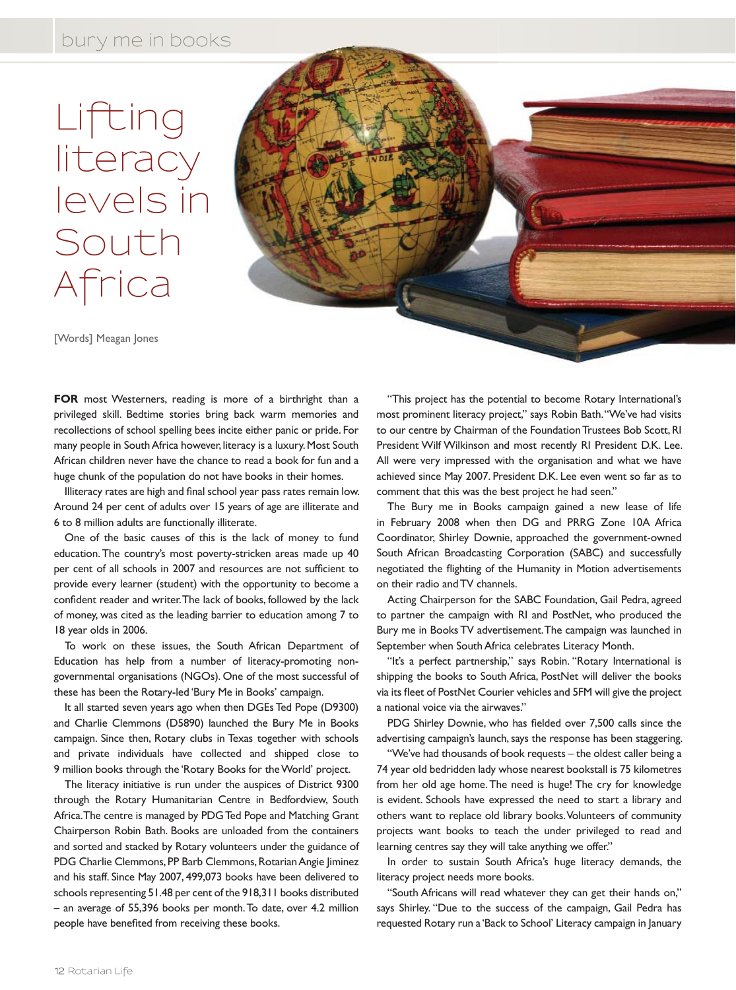## Lifting literacy levels in South Africa



[Words] Meagan Jones

FOR most Westerners, reading is more of a birthright than a privileged skill. Bedtime stories bring back warm memories and recollections of school spelling bees incite either panic or pride. For many people in South Africa however, literacy is a luxury. Most South African children never have the chance to read a book for fun and a huge chunk of the population do not have books in their homes.

Illiteracy rates are high and final school year pass rates remain low. Around 24 per cent of adults over 15 years of age are illiterate and 6 to 8 million adults are functionally illiterate.

One of the basic causes of this is the lack of money to fund education. The country's most poverty-stricken areas made up 40 per cent of all schools in 2007 and resources are not sufficient to provide every learner (student) with the opportunity to become a confident reader and writer. The lack of books, followed by the lack of money, was cited as the leading barrier to education among 7 to 18 year olds in 2006.

To work on these issues, the South African Department of Education has help from a number of literacy-promoting nongovernmental organisations (NGOs). One of the most successful of these has been the Rotary-led 'Bury Me in Books' campaign.

It all started seven years ago when then DGEs Ted Pope (D9300) and Charlie Clemmons (D5890) launched the Bury Me in Books campaign. Since then, Rotary clubs in Texas together with schools and private individuals have collected and shipped close to 9 million books through the 'Rotary Books for the World' project.

The literacy initiative is run under the auspices of District 9300 through the Rotary Humanitarian Centre in Bedfordview, South Africa. The centre is managed by PDG Ted Pope and Matching Grant Chairperson Robin Bath. Books are unloaded from the containers and sorted and stacked by Rotary volunteers under the guidance of PDG Charlie Clemmons, PP Barb Clemmons, Rotarian Angie Jiminez and his staff. Since May 2007, 499,073 books have been delivered to schools representing 51.48 per cent of the 918,311 books distributed – an average of 55,396 books per month. To date, over 4.2 million people have benefited from receiving these books.

"This project has the potential to become Rotary International's most prominent literacy project," says Robin Bath. "We've had visits to our centre by Chairman of the Foundation Trustees Bob Scott, RI President Wilf Wilkinson and most recently RI President D.K. Lee. All were very impressed with the organisation and what we have achieved since May 2007. President D.K. Lee even went so far as to comment that this was the best project he had seen."

The Bury me in Books campaign gained a new lease of life in February 2008 when then DG and PRRG Zone 10A Africa Coordinator, Shirley Downie, approached the government-owned South African Broadcasting Corporation (SABC) and successfully negotiated the flighting of the Humanity in Motion advertisements on their radio and TV channels.

Acting Chairperson for the SABC Foundation, Gail Pedra, agreed to partner the campaign with RI and PostNet, who produced the Bury me in Books TV advertisement. The campaign was launched in September when South Africa celebrates Literacy Month.

"It's a perfect partnership," says Robin. "Rotary International is shipping the books to South Africa, PostNet will deliver the books via its fleet of PostNet Courier vehicles and 5FM will give the project a national voice via the airwaves."

PDG Shirley Downie, who has fielded over 7,500 calls since the advertising campaign's launch, says the response has been staggering.

"We've had thousands of book requests – the oldest caller being a 74 year old bedridden lady whose nearest bookstall is 75 kilometres from her old age home. The need is huge! The cry for knowledge is evident. Schools have expressed the need to start a library and others want to replace old library books. Volunteers of community projects want books to teach the under privileged to read and learning centres say they will take anything we offer."

In order to sustain South Africa's huge literacy demands, the literacy project needs more books.

"South Africans will read whatever they can get their hands on," says Shirley. "Due to the success of the campaign, Gail Pedra has requested Rotary run a 'Back to School' Literacy campaign in January